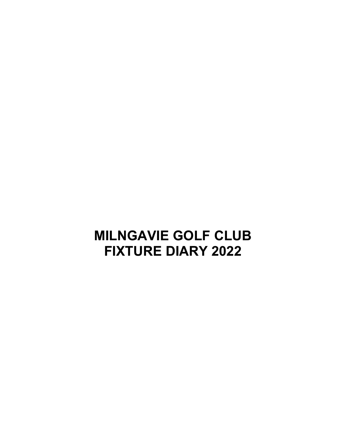## **MILNGAVIE GOLF CLUB FIXTURE DIARY 2022**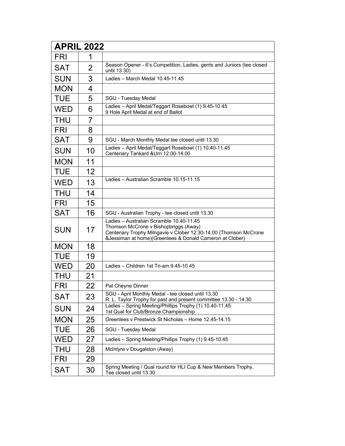| <b>APRIL 2022</b> |                |                                                                                                                                                                                                                     |  |
|-------------------|----------------|---------------------------------------------------------------------------------------------------------------------------------------------------------------------------------------------------------------------|--|
| <b>FRI</b>        | 1              |                                                                                                                                                                                                                     |  |
| <b>SAT</b>        | $\overline{2}$ | Season Opener - 6's Competition, Ladies, gents and Juniors (tee closed<br>until 13.30)                                                                                                                              |  |
| <b>SUN</b>        | 3              | Ladies - March Medal 10.45-11.45                                                                                                                                                                                    |  |
| <b>MON</b>        | 4              |                                                                                                                                                                                                                     |  |
| <b>TUE</b>        | 5              | SGU - Tuesday Medal                                                                                                                                                                                                 |  |
| <b>WED</b>        | 6              | Ladies - April Medal/Teggart Rosebowl (1) 9.45-10.45<br>9 Hole April Medal at end of Ballot                                                                                                                         |  |
| <b>THU</b>        | 7              |                                                                                                                                                                                                                     |  |
| <b>FRI</b>        | 8              |                                                                                                                                                                                                                     |  |
| <b>SAT</b>        | 9              | SGU - March Monthly Medal tee closed until 13.30                                                                                                                                                                    |  |
| <b>SUN</b>        | 10             | Ladies - April Medal/Teggart Rosebowl (1) 10.40-11.45<br>Centenary Tankard &Urn 12.00-14.00                                                                                                                         |  |
| <b>MON</b>        | 11             |                                                                                                                                                                                                                     |  |
| <b>TUE</b>        | 12             |                                                                                                                                                                                                                     |  |
| <b>WED</b>        | 13             | Ladies - Australian Scramble 10.15-11.15                                                                                                                                                                            |  |
| <b>THU</b>        | 14             |                                                                                                                                                                                                                     |  |
| <b>FRI</b>        | 15             |                                                                                                                                                                                                                     |  |
| <b>SAT</b>        | 16             | SGU - Australian Trophy - tee closed until 13.30                                                                                                                                                                    |  |
| <b>SUN</b>        | 17             | Ladies - Australian Scramble 10.40-11.45<br>Thomson McCrone v Bishopbriggs (Away)<br>Centenary Trophy Milngavie v Clober 12.30-14.00 (Thomson McCrone<br>& Jessiman at home) (Greenlees & Donald Cameron at Clober) |  |
| <b>MON</b>        | 18             |                                                                                                                                                                                                                     |  |
| <b>TUE</b>        | 19             |                                                                                                                                                                                                                     |  |
| <b>WED</b>        | 20             | Ladies - Children 1st Tri-am 9.45-10.45                                                                                                                                                                             |  |
| <b>THU</b>        | 21             |                                                                                                                                                                                                                     |  |
| <b>FRI</b>        | 22             | Pat Cheyne Dinner                                                                                                                                                                                                   |  |
| <b>SAT</b>        | 23             | SGU - April Monthly Medal - tee closed until 13.30<br>R. L. Taylor Trophy for past and present committee 13.30 - 14.30                                                                                              |  |
| <b>SUN</b>        | 24             | Ladies - Spring Meeting/Phillips Trophy (1) 10.40-11.45<br>1st Qual for Club/Bronze Championship                                                                                                                    |  |
| <b>MON</b>        | 25             | Greenlees v Prestwick St Nicholas - Home 12.45-14.15                                                                                                                                                                |  |
| TUE               | 26             | SGU - Tuesday Medal                                                                                                                                                                                                 |  |
| <b>WED</b>        | 27             | Ladies - Spring Meeting/Phillips Trophy (1) 9.45-10.45                                                                                                                                                              |  |
| THU               | 28             | McIntyre v Dougalston (Away)                                                                                                                                                                                        |  |
| FRI               | 29             |                                                                                                                                                                                                                     |  |
| <b>SAT</b>        | 30             | Spring Meeting / Qual round for HLI Cup & New Members Trophy.<br>Tee closed until 13.30                                                                                                                             |  |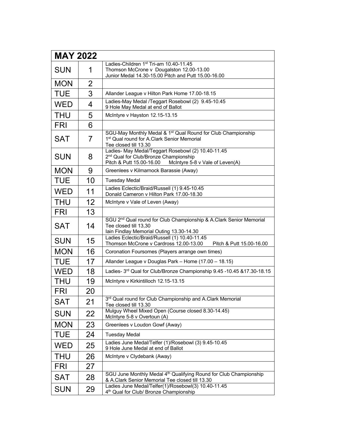| <b>MAY 2022</b> |                |                                                                                                                                                                        |
|-----------------|----------------|------------------------------------------------------------------------------------------------------------------------------------------------------------------------|
| <b>SUN</b>      | 1              | Ladies-Children 1st Tri-am 10.40-11.45<br>Thomson McCrone v Dougalston 12.00-13.00<br>Junior Medal 14.30-15.00 Pitch and Putt 15.00-16.00                              |
| <b>MON</b>      | $\overline{2}$ |                                                                                                                                                                        |
| <b>TUE</b>      | 3              | Allander League v Hilton Park Home 17.00-18.15                                                                                                                         |
| <b>WED</b>      | 4              | Ladies-May Medal /Teggart Rosebowl (2) 9.45-10.45<br>9 Hole May Medal at end of Ballot                                                                                 |
| <b>THU</b>      | 5              | McIntyre v Hayston 12.15-13.15                                                                                                                                         |
| <b>FRI</b>      | 6              |                                                                                                                                                                        |
| <b>SAT</b>      | 7              | SGU-May Monthly Medal & 1 <sup>st</sup> Qual Round for Club Championship<br>1 <sup>st</sup> Qual round for A.Clark Senior Memorial<br>Tee closed till 13.30            |
| <b>SUN</b>      | 8              | Ladies- May Medal/Teggart Rosebowl (2) 10.40-11.45<br>2 <sup>nd</sup> Qual for Club/Bronze Championship<br>Pitch & Putt 15.00-16.00<br>McIntyre 5-8 v Vale of Leven(A) |
| <b>MON</b>      | 9              | Greenlees v Kilmarnock Barassie (Away)                                                                                                                                 |
| <b>TUE</b>      | 10             | <b>Tuesday Medal</b>                                                                                                                                                   |
| <b>WED</b>      | 11             | Ladies Eclectic/Braid/Russell (1) 9.45-10.45<br>Donald Cameron v Hilton Park 17.00-18.30                                                                               |
| <b>THU</b>      | 12             | McIntyre v Vale of Leven (Away)                                                                                                                                        |
| <b>FRI</b>      | 13             |                                                                                                                                                                        |
| <b>SAT</b>      | 14             | SGU 2 <sup>nd</sup> Qual round for Club Championship & A.Clark Senior Memorial<br>Tee closed till 13,30<br>Iain Findlay Memorial Outing 13.30-14.30                    |
| <b>SUN</b>      | 15             | Ladies Eclectic/Braid/Russell (1) 10.40-11.45<br>Thomson McCrone v Cardross 12.00-13.00<br>Pitch & Putt 15.00-16.00                                                    |
| <b>MON</b>      | 16             | Coronation Foursomes (Players arrange own times)                                                                                                                       |
| <b>TUE</b>      | 17             | Allander League v Douglas Park - Home (17.00 - 18.15)                                                                                                                  |
| <b>WED</b>      | 18             | Ladies- 3rd Qual for Club/Bronze Championship 9.45 -10.45 &17.30-18.15                                                                                                 |
| <b>THU</b>      | 19             | McIntyre v Kirkintilloch 12.15-13.15                                                                                                                                   |
| <b>FRI</b>      | 20             |                                                                                                                                                                        |
| <b>SAT</b>      | 21             | 3rd Qual round for Club Championship and A.Clark Memorial<br>Tee closed till 13.30                                                                                     |
| <b>SUN</b>      | 22             | Mulguy Wheel Mixed Open (Course closed 8.30-14.45)<br>McIntyre 5-8 v Overtoun (A)                                                                                      |
| <b>MON</b>      | 23             | Greenlees v Loudon Gowf (Away)                                                                                                                                         |
| <b>TUE</b>      | 24             | <b>Tuesday Medal</b>                                                                                                                                                   |
| <b>WED</b>      | 25             | Ladies June Medal/Telfer (1)/Rosebowl (3) 9.45-10.45<br>9 Hole June Medal at end of Ballot                                                                             |
| <b>THU</b>      | 26             | McIntyre v Clydebank (Away)                                                                                                                                            |
| <b>FRI</b>      | 27             |                                                                                                                                                                        |
| <b>SAT</b>      | 28             | SGU June Monthly Medal 4 <sup>th</sup> Qualifying Round for Club Championship<br>& A.Clark Senior Memorial Tee closed till 13.30                                       |
| <b>SUN</b>      | 29             | Ladies June Medal/Telfer(1)/Rosebowl(3) 10.40-11.45<br>4 <sup>th</sup> Qual for Club/ Bronze Championship                                                              |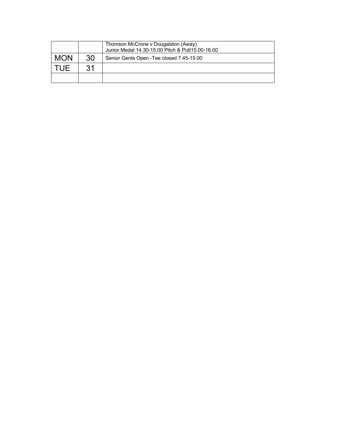|            |    | Thomson McCrone v Dougalston (Away)<br>Junior Medal 14.30-15.00 Pitch & Putt15.00-16.00 |
|------------|----|-----------------------------------------------------------------------------------------|
| <b>MON</b> | 30 | Senior Gents Open - Tee closed 7.45-15.00                                               |
|            | 31 |                                                                                         |
|            |    |                                                                                         |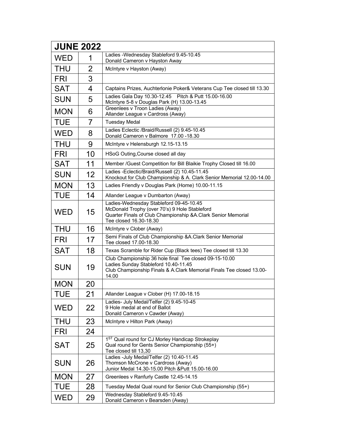| <b>JUNE 2022</b> |                |                                                                                                                                                                                      |  |
|------------------|----------------|--------------------------------------------------------------------------------------------------------------------------------------------------------------------------------------|--|
| <b>WED</b>       | 1              | Ladies - Wednesday Stableford 9.45-10.45<br>Donald Cameron v Hayston Away                                                                                                            |  |
| <b>THU</b>       | $\overline{2}$ | McIntyre v Hayston (Away)                                                                                                                                                            |  |
| <b>FRI</b>       | 3              |                                                                                                                                                                                      |  |
| <b>SAT</b>       | 4              | Captains Prizes, Auchterlonie Poker& Veterans Cup Tee closed till 13.30                                                                                                              |  |
| <b>SUN</b>       | 5              | Ladies Gala Day 10.30-12.45  Pitch & Putt 15.00-16.00<br>McIntyre 5-8 v Douglas Park (H) 13.00-13.45                                                                                 |  |
| <b>MON</b>       | 6              | Greenlees v Troon Ladies (Away)<br>Allander League v Cardross (Away)                                                                                                                 |  |
| <b>TUE</b>       | 7              | <b>Tuesday Medal</b>                                                                                                                                                                 |  |
| <b>WED</b>       | 8              | Ladies Eclectic /Braid/Russell (2) 9.45-10.45<br>Donald Cameron v Balmore 17.00 -18.30                                                                                               |  |
| <b>THU</b>       | 9              | McIntyre v Helensburgh 12.15-13.15                                                                                                                                                   |  |
| <b>FRI</b>       | 10             | HSoG Outing, Course closed all day                                                                                                                                                   |  |
| <b>SAT</b>       | 11             | Member /Guest Competition for Bill Blaikie Trophy Closed till 16.00                                                                                                                  |  |
| <b>SUN</b>       | 12             | Ladies -Eclectic/Braid/Russell (2) 10.45-11.45<br>Knockout for Club Championship & A. Clark Senior Memorial 12.00-14.00                                                              |  |
| <b>MON</b>       | 13             | Ladies Friendly v Douglas Park (Home) 10.00-11.15                                                                                                                                    |  |
| <b>TUE</b>       | 14             | Allander League v Dumbarton (Away)                                                                                                                                                   |  |
| <b>WED</b>       | 15             | Ladies-Wednesday Stableford 09-45-10.45<br>McDonald Trophy (over 70's) 9 Hole Stableford<br>Quarter Finals of Club Championship & A. Clark Senior Memorial<br>Tee closed 16.30-18.30 |  |
| <b>THU</b>       | 16             | McIntyre v Clober (Away)                                                                                                                                                             |  |
| <b>FRI</b>       | 17             | Semi Finals of Club Championship &A.Clark Senior Memorial<br>Tee closed 17.00-18.30                                                                                                  |  |
| <b>SAT</b>       | 18             | Texas Scramble for Rider Cup (Black tees) Tee closed till 13.30                                                                                                                      |  |
| <b>SUN</b>       | 19             | Club Championship 36 hole final Tee closed 09-15-10.00<br>Ladies Sunday Stableford 10.40-11.45<br>Club Championship Finals & A.Clark Memorial Finals Tee closed 13.00-<br>14.00      |  |
| <b>MON</b>       | 20             |                                                                                                                                                                                      |  |
| <b>TUE</b>       | 21             | Allander League v Clober (H) 17.00-18.15                                                                                                                                             |  |
| <b>WED</b>       | 22             | Ladies- July Medal/Telfer (2) 9.45-10-45<br>9 Hole medal at end of Ballot<br>Donald Cameron v Cawder (Away)                                                                          |  |
| <b>THU</b>       | 23             | McIntyre v Hilton Park (Away)                                                                                                                                                        |  |
| <b>FRI</b>       | 24             |                                                                                                                                                                                      |  |
| <b>SAT</b>       | 25             | 1ST Qual round for CJ Morley Handicap Strokeplay<br>Qual round for Gents Senior Championship (55+)<br>Tee closed till 13,30                                                          |  |
| <b>SUN</b>       | 26             | Ladies -July Medal/Telfer (2) 10.40-11.45<br>Thomson McCrone v Cardross (Away)<br>Junior Medal 14.30-15.00 Pitch & Putt 15.00-16.00                                                  |  |
| <b>MON</b>       | 27             | Greenlees v Ranfurly Castle 12.45-14.15                                                                                                                                              |  |
| <b>TUE</b>       | 28             | Tuesday Medal Qual round for Senior Club Championship (55+)                                                                                                                          |  |
| <b>WED</b>       | 29             | Wednesday Stableford 9.45-10.45<br>Donald Cameron v Bearsden (Away)                                                                                                                  |  |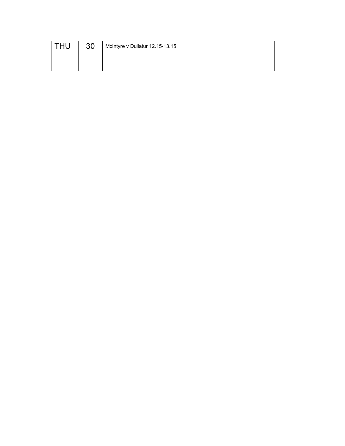| 30 | McIntyre v Dullatur 12.15-13.15 |
|----|---------------------------------|
|    |                                 |
|    |                                 |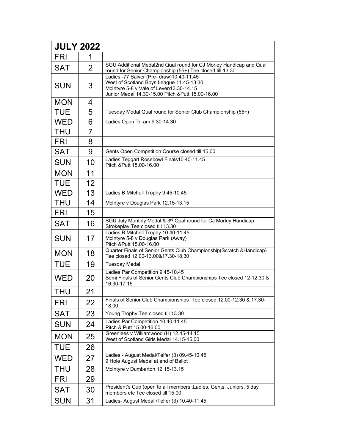| <b>JULY 2022</b> |                |                                                                                                                                                                                       |
|------------------|----------------|---------------------------------------------------------------------------------------------------------------------------------------------------------------------------------------|
| <b>FRI</b>       | 1              |                                                                                                                                                                                       |
| <b>SAT</b>       | $\overline{2}$ | SGU Additional Medal2nd Qual round for CJ Morley Handicap and Qual<br>round for Senior Championship (55+) Tee closed till 13.30                                                       |
| <b>SUN</b>       | 3              | Ladies -77 Salver (Pre- draw) 10.40-11.45<br>West of Scotland Boys League 11.45-13.30<br>McIntyre 5-8 v Vale of Leven13.30-14.15<br>Junior Medal 14.30-15.00 Pitch & Putt 15.00-16.00 |
| <b>MON</b>       | 4              |                                                                                                                                                                                       |
| <b>TUE</b>       | 5              | Tuesday Medal Qual round for Senior Club Championship (55+)                                                                                                                           |
| <b>WED</b>       | 6              | Ladies Open Tri-am 9.30-14.30                                                                                                                                                         |
| <b>THU</b>       | $\overline{7}$ |                                                                                                                                                                                       |
| <b>FRI</b>       | 8              |                                                                                                                                                                                       |
| <b>SAT</b>       | 9              | Gents Open Competition Course closed till 15.00                                                                                                                                       |
| <b>SUN</b>       | 10             | Ladies Teggart Rosebowl Finals10.40-11.45<br>Pitch & Putt 15.00-16.00                                                                                                                 |
| <b>MON</b>       | 11             |                                                                                                                                                                                       |
| <b>TUE</b>       | 12             |                                                                                                                                                                                       |
| <b>WED</b>       | 13             | Ladies B Mitchell Trophy 9.45-10.45                                                                                                                                                   |
| <b>THU</b>       | 14             | McIntyre v Douglas Park 12.15-13.15                                                                                                                                                   |
| <b>FRI</b>       | 15             |                                                                                                                                                                                       |
| <b>SAT</b>       | 16             | SGU July Monthly Medal & 3rd Qual round for CJ Morley Handicap<br>Strokeplay Tee closed till 13.30                                                                                    |
| <b>SUN</b>       | 17             | Ladies B Mitchell Trophy 10.40-11.45<br>McIntyre 5-8 v Douglas Park (Away)<br>Pitch & Putt 15.00-16.00                                                                                |
| <b>MON</b>       | 18             | Quarter Finals of Senior Gents Club Championship(Scratch & Handicap)<br>Tee closed 12.00-13.00&17.30-18.30                                                                            |
| <b>TUE</b>       | 19             | <b>Tuesday Medal</b>                                                                                                                                                                  |
| <b>WED</b>       | 20             | Ladies Par Competition 9.45-10.45<br>Semi Finals of Senior Gents Club Championships Tee closed 12-12.30 &<br>16.30-17.15                                                              |
| <b>THU</b>       | 21             |                                                                                                                                                                                       |
| <b>FRI</b>       | 22             | Finals of Senior Club Championships Tee closed 12.00-12.30 & 17.30-<br>18.00                                                                                                          |
| <b>SAT</b>       | 23             | Young Trophy Tee closed till 13.30                                                                                                                                                    |
| <b>SUN</b>       | 24             | Ladies Par Competition 10.40-11.45<br>Pitch & Putt 15.00-16.00                                                                                                                        |
| <b>MON</b>       | 25             | Greenlees v Williamwood (H) 12.45-14.15<br>West of Scotland Girls Medal 14.15-15.00                                                                                                   |
| <b>TUE</b>       | 26             |                                                                                                                                                                                       |
| <b>WED</b>       | 27             | Ladies - August Medal/Telfer (3) 09.45-10.45<br>9 Hole August Medal at end of Ballot                                                                                                  |
| <b>THU</b>       | 28             | McIntyre v Dumbarton 12.15-13.15                                                                                                                                                      |
| <b>FRI</b>       | 29             |                                                                                                                                                                                       |
| <b>SAT</b>       | 30             | President's Cup (open to all members , Ladies, Gents, Juniors, 5 day<br>members etc Tee closed till 15.00                                                                             |
| <b>SUN</b>       | 31             | Ladies- August Medal /Telfer (3) 10.40-11.45                                                                                                                                          |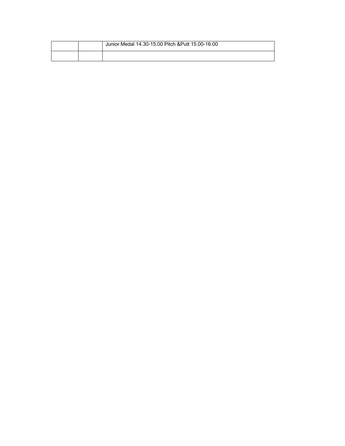|  | Junior Medal 14.30-15.00 Pitch & Putt 15.00-16.00 |
|--|---------------------------------------------------|
|  |                                                   |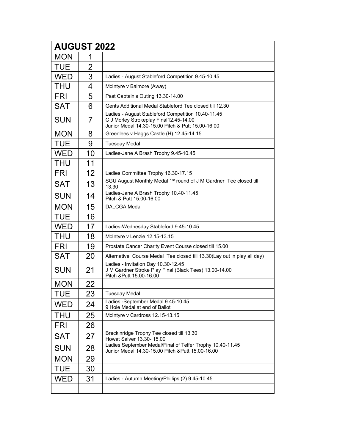| <b>AUGUST 2022</b> |                |                                                                                                                                                   |
|--------------------|----------------|---------------------------------------------------------------------------------------------------------------------------------------------------|
| <b>MON</b>         | 1              |                                                                                                                                                   |
| <b>TUE</b>         | $\overline{2}$ |                                                                                                                                                   |
| <b>WED</b>         | 3              | Ladies - August Stableford Competition 9.45-10.45                                                                                                 |
| <b>THU</b>         | 4              | McIntyre v Balmore (Away)                                                                                                                         |
| <b>FRI</b>         | 5              | Past Captain's Outing 13.30-14.00                                                                                                                 |
| <b>SAT</b>         | 6              | Gents Additional Medal Stableford Tee closed till 12.30                                                                                           |
| <b>SUN</b>         | 7              | Ladies - August Stableford Competition 10.40-11.45<br>C J Morley Strokeplay Final12.45-14.00<br>Junior Medal 14.30-15.00 Pitch & Putt 15.00-16.00 |
| <b>MON</b>         | 8              | Greenlees v Haggs Castle (H) 12.45-14.15                                                                                                          |
| <b>TUE</b>         | 9              | <b>Tuesday Medal</b>                                                                                                                              |
| <b>WED</b>         | 10             | Ladies-Jane A Brash Trophy 9.45-10.45                                                                                                             |
| <b>THU</b>         | 11             |                                                                                                                                                   |
| <b>FRI</b>         | 12             | Ladies Committee Trophy 16.30-17.15                                                                                                               |
| <b>SAT</b>         | 13             | SGU August Monthly Medal 1 <sup>st</sup> round of J M Gardner Tee closed till<br>13.30                                                            |
| <b>SUN</b>         | 14             | Ladies-Jane A Brash Trophy 10.40-11.45<br>Pitch & Putt 15.00-16.00                                                                                |
| <b>MON</b>         | 15             | <b>DALCGA Medal</b>                                                                                                                               |
| <b>TUE</b>         | 16             |                                                                                                                                                   |
| <b>WED</b>         | 17             | Ladies-Wednesday Stableford 9.45-10.45                                                                                                            |
| THU                | 18             | McIntyre v Lenzie 12.15-13.15                                                                                                                     |
| <b>FRI</b>         | 19             | Prostate Cancer Charity Event Course closed till 15.00                                                                                            |
| <b>SAT</b>         | 20             | Alternative Course Medal Tee closed till 13.30(Lay out in play all day)                                                                           |
| <b>SUN</b>         | 21             | Ladies - Invitation Day 10.30-12.45<br>J M Gardner Stroke Play Final (Black Tees) 13.00-14.00<br>Pitch & Putt 15.00-16.00                         |
| <b>MON</b>         | 22             |                                                                                                                                                   |
| <b>TUE</b>         | 23             | <b>Tuesday Medal</b>                                                                                                                              |
| <b>WED</b>         | 24             | Ladies -September Medal 9.45-10.45<br>9 Hole Medal at end of Ballot                                                                               |
| <b>THU</b>         | 25             | McIntyre v Cardross 12.15-13.15                                                                                                                   |
| <b>FRI</b>         | 26             |                                                                                                                                                   |
| <b>SAT</b>         | 27             | Breckinridge Trophy Tee closed till 13.30<br>Howat Salver 13.30- 15.00                                                                            |
| <b>SUN</b>         | 28             | Ladies September Medal/Final of Telfer Trophy 10.40-11.45<br>Junior Medal 14.30-15.00 Pitch & Putt 15.00-16.00                                    |
| <b>MON</b>         | 29             |                                                                                                                                                   |
| <b>TUE</b>         | 30             |                                                                                                                                                   |
| WED                | 31             | Ladies - Autumn Meeting/Phillips (2) 9.45-10.45                                                                                                   |
|                    |                |                                                                                                                                                   |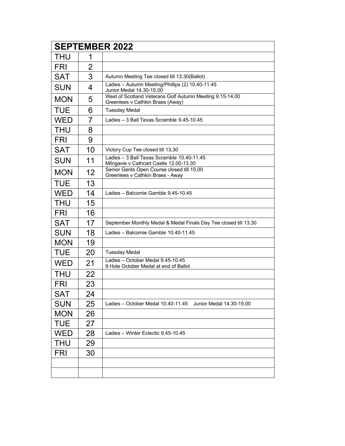| <b>SEPTEMBER 2022</b> |                |                                                                                              |
|-----------------------|----------------|----------------------------------------------------------------------------------------------|
| <b>THU</b>            | 1              |                                                                                              |
| <b>FRI</b>            | $\overline{2}$ |                                                                                              |
| <b>SAT</b>            | 3              | Autumn Meeting Tee closed till 13.30(Ballot)                                                 |
| <b>SUN</b>            | 4              | Ladies - Autumn Meeting/Phillips (2) 10.40-11.45<br>Junior Medal 14.30-15.00                 |
| <b>MON</b>            | 5              | West of Scotland Veterans Golf Autumn Meeting 9.15-14.00<br>Greenlees v Cathkin Braes (Away) |
| <b>TUE</b>            | 6              | <b>Tuesday Medal</b>                                                                         |
| <b>WED</b>            | $\overline{7}$ | Ladies - 3 Ball Texas Scramble 9.45-10.45                                                    |
| <b>THU</b>            | 8              |                                                                                              |
| <b>FRI</b>            | 9              |                                                                                              |
| <b>SAT</b>            | 10             | Victory Cup Tee closed till 13,30                                                            |
| <b>SUN</b>            | 11             | Ladies - 3 Ball Texas Scramble 10.40-11.45<br>Milngavie v Cathcart Castle 12.00-13.30        |
| <b>MON</b>            | 12             | Senior Gents Open Course closed till 15.00<br>Greenlees v Cathkin Braes - Away               |
| <b>TUE</b>            | 13             |                                                                                              |
| <b>WED</b>            | 14             | Ladies - Balcomie Gamble 9.45-10.45                                                          |
| <b>THU</b>            | 15             |                                                                                              |
| <b>FRI</b>            | 16             |                                                                                              |
| <b>SAT</b>            | 17             | September Monthly Medal & Medal Finals Day Tee closed till 13.30                             |
| <b>SUN</b>            | 18             | Ladies - Balcomie Gamble 10.40-11.45                                                         |
| <b>MON</b>            | 19             |                                                                                              |
| <b>TUE</b>            | 20             | <b>Tuesday Medal</b>                                                                         |
| <b>WED</b>            | 21             | Ladies - October Medal 9.45-10.45<br>9 Hole October Medal at end of Ballot                   |
| <b>THU</b>            | 22             |                                                                                              |
| <b>FRI</b>            | 23             |                                                                                              |
| <b>SAT</b>            | 24             |                                                                                              |
| <b>SUN</b>            | 25             | Ladies - October Medal 10.40-11.45<br>Junior Medal 14.30-15.00                               |
| <b>MON</b>            | 26             |                                                                                              |
| <b>TUE</b>            | 27             |                                                                                              |
| <b>WED</b>            | 28             | Ladies - Winter Eclectic 9.45-10.45                                                          |
| THU                   | 29             |                                                                                              |
| <b>FRI</b>            | 30             |                                                                                              |
|                       |                |                                                                                              |
|                       |                |                                                                                              |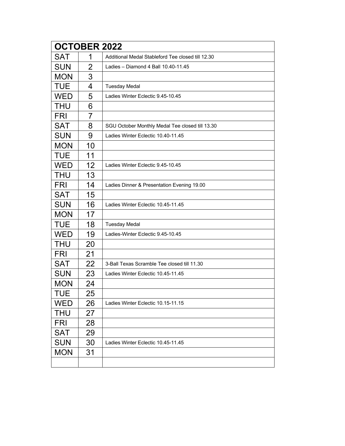|            | <b>OCTOBER 2022</b> |                                                   |  |
|------------|---------------------|---------------------------------------------------|--|
| <b>SAT</b> | 1                   | Additional Medal Stableford Tee closed till 12.30 |  |
| <b>SUN</b> | $\overline{2}$      | Ladies - Diamond 4 Ball 10.40-11.45               |  |
| <b>MON</b> | 3                   |                                                   |  |
| <b>TUE</b> | 4                   | <b>Tuesday Medal</b>                              |  |
| <b>WED</b> | 5                   | Ladies Winter Eclectic 9.45-10.45                 |  |
| <b>THU</b> | 6                   |                                                   |  |
| <b>FRI</b> | $\overline{7}$      |                                                   |  |
| <b>SAT</b> | 8                   | SGU October Monthly Medal Tee closed till 13.30   |  |
| <b>SUN</b> | 9                   | Ladies Winter Eclectic 10.40-11.45                |  |
| <b>MON</b> | 10                  |                                                   |  |
| <b>TUE</b> | 11                  |                                                   |  |
| <b>WED</b> | 12                  | Ladies Winter Eclectic 9.45-10.45                 |  |
| <b>THU</b> | 13                  |                                                   |  |
| <b>FRI</b> | 14                  | Ladies Dinner & Presentation Evening 19.00        |  |
| <b>SAT</b> | 15                  |                                                   |  |
| <b>SUN</b> | 16                  | Ladies Winter Eclectic 10.45-11.45                |  |
| <b>MON</b> | 17                  |                                                   |  |
| <b>TUE</b> | 18                  | <b>Tuesday Medal</b>                              |  |
| <b>WED</b> | 19                  | Ladies-Winter Eclectic 9.45-10.45                 |  |
| <b>THU</b> | 20                  |                                                   |  |
| <b>FRI</b> | 21                  |                                                   |  |
| <b>SAT</b> | 22                  | 3-Ball Texas Scramble Tee closed till 11.30       |  |
| <b>SUN</b> | 23                  | Ladies Winter Eclectic 10.45-11.45                |  |
| <b>MON</b> | 24                  |                                                   |  |
| TUE        | 25                  |                                                   |  |
| <b>WED</b> | 26                  | Ladies Winter Eclectic 10.15-11.15                |  |
| <b>THU</b> | 27                  |                                                   |  |
| <b>FRI</b> | 28                  |                                                   |  |
| <b>SAT</b> | 29                  |                                                   |  |
| <b>SUN</b> | 30                  | Ladies Winter Eclectic 10.45-11.45                |  |
| <b>MON</b> | 31                  |                                                   |  |
|            |                     |                                                   |  |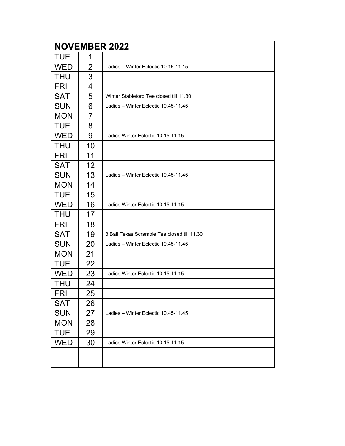| <b>NOVEMBER 2022</b> |                |                                             |
|----------------------|----------------|---------------------------------------------|
| <b>TUE</b>           | 1              |                                             |
| <b>WED</b>           | $\overline{2}$ | Ladies - Winter Eclectic 10.15-11.15        |
| THU                  | 3              |                                             |
| <b>FRI</b>           | 4              |                                             |
| <b>SAT</b>           | 5              | Winter Stableford Tee closed till 11.30     |
| <b>SUN</b>           | 6              | Ladies - Winter Eclectic 10.45-11.45        |
| <b>MON</b>           | 7              |                                             |
| <b>TUE</b>           | 8              |                                             |
| WED                  | 9              | Ladies Winter Eclectic 10.15-11.15          |
| <b>THU</b>           | 10             |                                             |
| <b>FRI</b>           | 11             |                                             |
| <b>SAT</b>           | 12             |                                             |
| <b>SUN</b>           | 13             | Ladies - Winter Eclectic 10.45-11.45        |
| <b>MON</b>           | 14             |                                             |
| <b>TUE</b>           | 15             |                                             |
| <b>WED</b>           | 16             | Ladies Winter Eclectic 10.15-11.15          |
| <b>THU</b>           | 17             |                                             |
| <b>FRI</b>           | 18             |                                             |
| <b>SAT</b>           | 19             | 3 Ball Texas Scramble Tee closed till 11.30 |
| <b>SUN</b>           | 20             | Ladies - Winter Eclectic 10.45-11.45        |
| <b>MON</b>           | 21             |                                             |
| <b>TUE</b>           | 22             |                                             |
| <b>WED</b>           | 23             | Ladies Winter Eclectic 10.15-11.15          |
| THU                  | 24             |                                             |
| <b>FRI</b>           | 25             |                                             |
| <b>SAT</b>           | 26             |                                             |
| <b>SUN</b>           | 27             | Ladies - Winter Eclectic 10.45-11.45        |
| <b>MON</b>           | 28             |                                             |
| <b>TUE</b>           | 29             |                                             |
| <b>WED</b>           | 30             | Ladies Winter Eclectic 10.15-11.15          |
|                      |                |                                             |
|                      |                |                                             |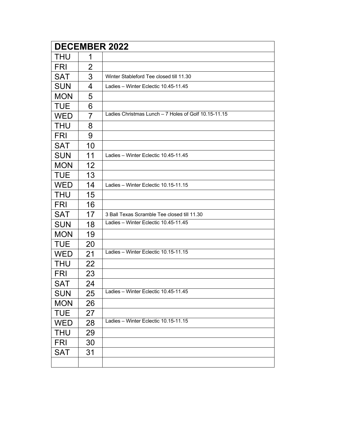|            |                | <b>DECEMBER 2022</b>                                 |
|------------|----------------|------------------------------------------------------|
| <b>THU</b> | 1              |                                                      |
| <b>FRI</b> | $\overline{2}$ |                                                      |
| <b>SAT</b> | 3              | Winter Stableford Tee closed till 11.30              |
| <b>SUN</b> | 4              | Ladies - Winter Eclectic 10.45-11.45                 |
| <b>MON</b> | 5              |                                                      |
| <b>TUE</b> | 6              |                                                      |
| <b>WED</b> | $\overline{7}$ | Ladies Christmas Lunch - 7 Holes of Golf 10.15-11.15 |
| <b>THU</b> | 8              |                                                      |
| <b>FRI</b> | 9              |                                                      |
| <b>SAT</b> | 10             |                                                      |
| <b>SUN</b> | 11             | Ladies - Winter Eclectic 10.45-11.45                 |
| <b>MON</b> | 12             |                                                      |
| <b>TUE</b> | 13             |                                                      |
| <b>WED</b> | 14             | Ladies - Winter Eclectic 10.15-11.15                 |
| <b>THU</b> | 15             |                                                      |
| <b>FRI</b> | 16             |                                                      |
| <b>SAT</b> | 17             | 3 Ball Texas Scramble Tee closed till 11.30          |
| <b>SUN</b> | 18             | Ladies - Winter Eclectic 10.45-11.45                 |
| <b>MON</b> | 19             |                                                      |
| <b>TUE</b> | 20             |                                                      |
| <b>WED</b> | 21             | Ladies - Winter Eclectic 10.15-11.15                 |
| <b>THU</b> | 22             |                                                      |
| FRI        | 23             |                                                      |
| <b>SAT</b> | 24             |                                                      |
| <b>SUN</b> | 25             | Ladies - Winter Eclectic 10.45-11.45                 |
| <b>MON</b> | 26             |                                                      |
| <b>TUE</b> | 27             |                                                      |
| <b>WED</b> | 28             | Ladies - Winter Eclectic 10.15-11.15                 |
| <b>THU</b> | 29             |                                                      |
| <b>FRI</b> | 30             |                                                      |
| <b>SAT</b> | 31             |                                                      |
|            |                |                                                      |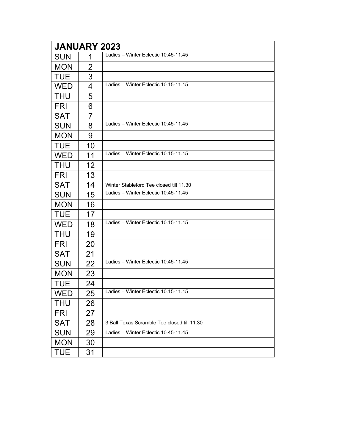| <b>JANUARY 2023</b> |                |                                             |  |  |  |
|---------------------|----------------|---------------------------------------------|--|--|--|
| <b>SUN</b>          | 1              | Ladies - Winter Eclectic 10.45-11.45        |  |  |  |
| <b>MON</b>          | $\overline{2}$ |                                             |  |  |  |
| <b>TUE</b>          | 3              |                                             |  |  |  |
| <b>WED</b>          | 4              | Ladies - Winter Eclectic 10.15-11.15        |  |  |  |
| <b>THU</b>          | 5              |                                             |  |  |  |
| <b>FRI</b>          | 6              |                                             |  |  |  |
| <b>SAT</b>          | $\overline{7}$ |                                             |  |  |  |
| <b>SUN</b>          | 8              | Ladies - Winter Eclectic 10.45-11.45        |  |  |  |
| <b>MON</b>          | 9              |                                             |  |  |  |
| <b>TUE</b>          | 10             |                                             |  |  |  |
| <b>WED</b>          | 11             | Ladies - Winter Eclectic 10.15-11.15        |  |  |  |
| <b>THU</b>          | 12             |                                             |  |  |  |
| <b>FRI</b>          | 13             |                                             |  |  |  |
| <b>SAT</b>          | 14             | Winter Stableford Tee closed till 11.30     |  |  |  |
| <b>SUN</b>          | 15             | Ladies - Winter Eclectic 10.45-11.45        |  |  |  |
| <b>MON</b>          | 16             |                                             |  |  |  |
| <b>TUE</b>          | 17             |                                             |  |  |  |
| <b>WED</b>          | 18             | Ladies - Winter Eclectic 10.15-11.15        |  |  |  |
| <b>THU</b>          | 19             |                                             |  |  |  |
| <b>FRI</b>          | 20             |                                             |  |  |  |
| <b>SAT</b>          | 21             |                                             |  |  |  |
| <b>SUN</b>          | 22             | Ladies - Winter Eclectic 10.45-11.45        |  |  |  |
| <b>MON</b>          | 23             |                                             |  |  |  |
| <b>TUE</b>          | 24             |                                             |  |  |  |
| <b>WED</b>          | 25             | Ladies - Winter Eclectic 10.15-11.15        |  |  |  |
| THU                 | 26             |                                             |  |  |  |
| <b>FRI</b>          | 27             |                                             |  |  |  |
| <b>SAT</b>          | 28             | 3 Ball Texas Scramble Tee closed till 11.30 |  |  |  |
| <b>SUN</b>          | 29             | Ladies - Winter Eclectic 10.45-11.45        |  |  |  |
| <b>MON</b>          | 30             |                                             |  |  |  |
| <b>TUE</b>          | 31             |                                             |  |  |  |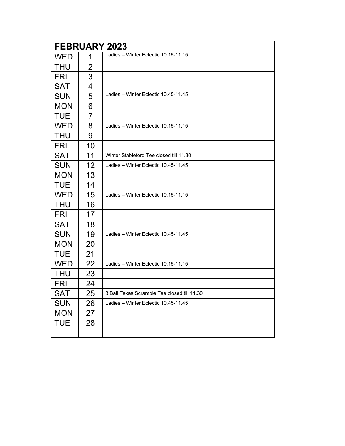| <b>FEBRUARY 2023</b> |    |                                             |  |  |  |
|----------------------|----|---------------------------------------------|--|--|--|
| <b>WED</b>           | 1  | Ladies - Winter Eclectic 10.15-11.15        |  |  |  |
| <b>THU</b>           | 2  |                                             |  |  |  |
| <b>FRI</b>           | 3  |                                             |  |  |  |
| <b>SAT</b>           | 4  |                                             |  |  |  |
| <b>SUN</b>           | 5  | Ladies - Winter Eclectic 10.45-11.45        |  |  |  |
| <b>MON</b>           | 6  |                                             |  |  |  |
| <b>TUE</b>           | 7  |                                             |  |  |  |
| <b>WED</b>           | 8  | Ladies - Winter Eclectic 10.15-11.15        |  |  |  |
| <b>THU</b>           | 9  |                                             |  |  |  |
| <b>FRI</b>           | 10 |                                             |  |  |  |
| <b>SAT</b>           | 11 | Winter Stableford Tee closed till 11.30     |  |  |  |
| <b>SUN</b>           | 12 | Ladies - Winter Eclectic 10.45-11.45        |  |  |  |
| <b>MON</b>           | 13 |                                             |  |  |  |
| <b>TUE</b>           | 14 |                                             |  |  |  |
| <b>WED</b>           | 15 | Ladies - Winter Eclectic 10.15-11.15        |  |  |  |
| <b>THU</b>           | 16 |                                             |  |  |  |
| <b>FRI</b>           | 17 |                                             |  |  |  |
| <b>SAT</b>           | 18 |                                             |  |  |  |
| <b>SUN</b>           | 19 | Ladies - Winter Eclectic 10.45-11.45        |  |  |  |
| <b>MON</b>           | 20 |                                             |  |  |  |
| <b>TUE</b>           | 21 |                                             |  |  |  |
| <b>WED</b>           | 22 | Ladies - Winter Eclectic 10.15-11.15        |  |  |  |
| <b>THU</b>           | 23 |                                             |  |  |  |
| <b>FRI</b>           | 24 |                                             |  |  |  |
| SAT                  | 25 | 3 Ball Texas Scramble Tee closed till 11.30 |  |  |  |
| <b>SUN</b>           | 26 | Ladies - Winter Eclectic 10.45-11.45        |  |  |  |
| <b>MON</b>           | 27 |                                             |  |  |  |
| <b>TUE</b>           | 28 |                                             |  |  |  |
|                      |    |                                             |  |  |  |